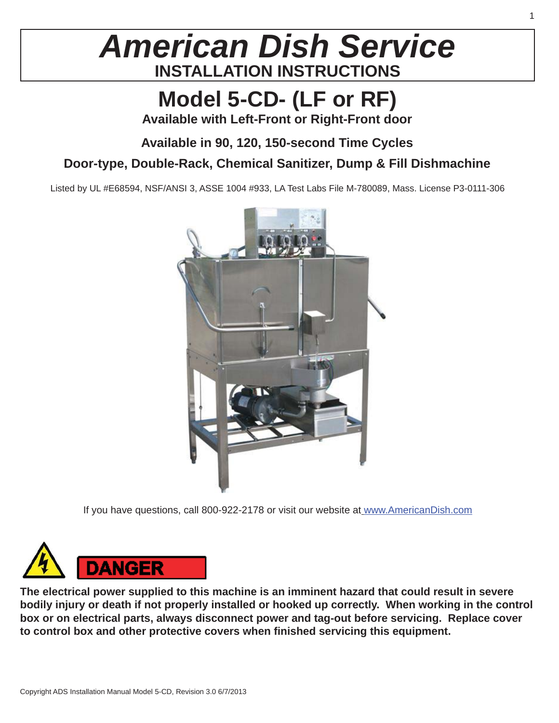## *American Dish Service* **INSTALLATION INSTRUCTIONS**

## **Model 5-CD- (LF or RF)**

**Available with Left-Front or Right-Front door**

#### **Available in 90, 120, 150-second Time Cycles**

#### **Door-type, Double-Rack, Chemical Sanitizer, Dump & Fill Dishmachine**

Listed by UL #E68594, NSF/ANSI 3, ASSE 1004 #933, LA Test Labs File M-780089, Mass. License P3-0111-306



If you have questions, call 800-922-2178 or visit our website at www.AmericanDish.com



**The electrical power supplied to this machine is an imminent hazard that could result in severe bodily injury or death if not properly installed or hooked up correctly. When working in the control box or on electrical parts, always disconnect power and tag-out before servicing. Replace cover to control box and other protective covers when fi nished servicing this equipment.**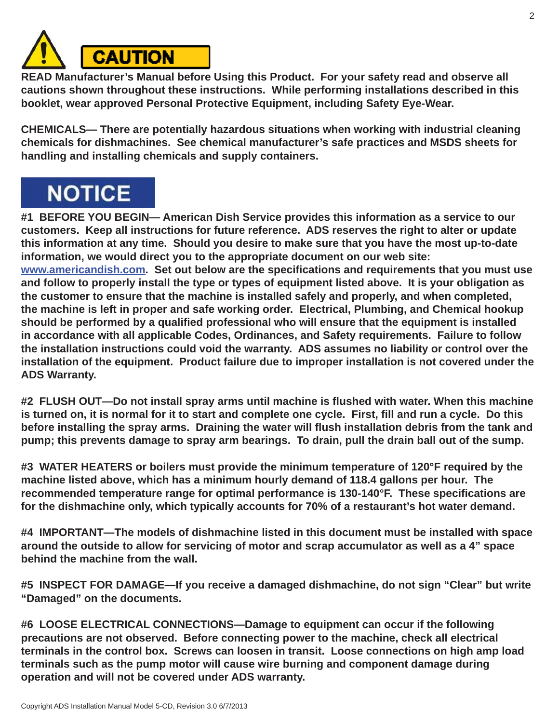

**READ Manufacturer's Manual before Using this Product. For your safety read and observe all cautions shown throughout these instructions. While performing installations described in this booklet, wear approved Personal Protective Equipment, including Safety Eye-Wear.**

**CHEMICALS— There are potentially hazardous situations when working with industrial cleaning chemicals for dishmachines. See chemical manufacturer's safe practices and MSDS sheets for handling and installing chemicals and supply containers.**

## **NOTICE**

**#1 BEFORE YOU BEGIN— American Dish Service provides this information as a service to our customers. Keep all instructions for future reference. ADS reserves the right to alter or update this information at any time. Should you desire to make sure that you have the most up-to-date information, we would direct you to the appropriate document on our web site: www.americandish.com.** Set out below are the specifications and requirements that you must use **and follow to properly install the type or types of equipment listed above. It is your obligation as the customer to ensure that the machine is installed safely and properly, and when completed, the machine is left in proper and safe working order. Electrical, Plumbing, and Chemical hookup**  should be performed by a qualified professional who will ensure that the equipment is installed **in accordance with all applicable Codes, Ordinances, and Safety requirements. Failure to follow the installation instructions could void the warranty. ADS assumes no liability or control over the** 

**installation of the equipment. Product failure due to improper installation is not covered under the ADS Warranty.**

**#2 FLUSH OUT—Do not install spray arms until machine is fl ushed with water. When this machine is turned on, it is normal for it to start and complete one cycle. First, fill and run a cycle. Do this before installing the spray arms. Draining the water will fl ush installation debris from the tank and pump; this prevents damage to spray arm bearings. To drain, pull the drain ball out of the sump.**

**#3 WATER HEATERS or boilers must provide the minimum temperature of 120°F required by the machine listed above, which has a minimum hourly demand of 118.4 gallons per hour. The recommended temperature range for optimal performance is 130-140°F. These specifi cations are for the dishmachine only, which typically accounts for 70% of a restaurant's hot water demand.**

**#4 IMPORTANT—The models of dishmachine listed in this document must be installed with space around the outside to allow for servicing of motor and scrap accumulator as well as a 4" space behind the machine from the wall.**

**#5 INSPECT FOR DAMAGE—If you receive a damaged dishmachine, do not sign "Clear" but write "Damaged" on the documents.**

**#6 LOOSE ELECTRICAL CONNECTIONS—Damage to equipment can occur if the following precautions are not observed. Before connecting power to the machine, check all electrical terminals in the control box. Screws can loosen in transit. Loose connections on high amp load terminals such as the pump motor will cause wire burning and component damage during operation and will not be covered under ADS warranty.**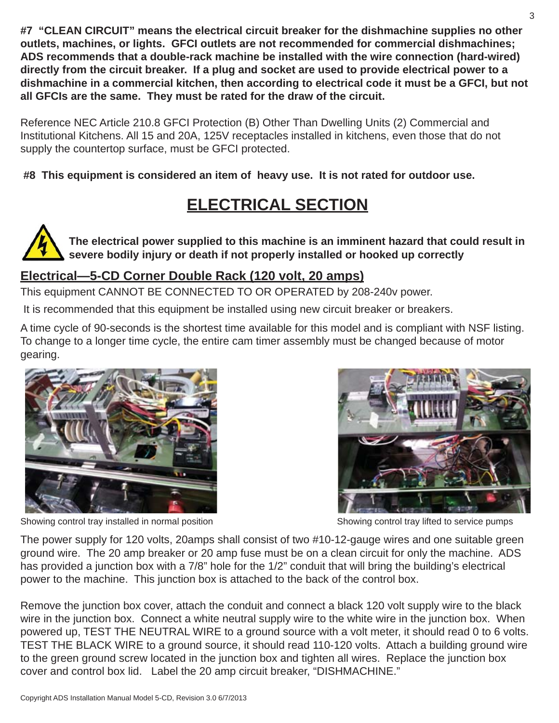**#7 "CLEAN CIRCUIT" means the electrical circuit breaker for the dishmachine supplies no other outlets, machines, or lights. GFCI outlets are not recommended for commercial dishmachines; ADS recommends that a double-rack machine be installed with the wire connection (hard-wired) directly from the circuit breaker. If a plug and socket are used to provide electrical power to a dishmachine in a commercial kitchen, then according to electrical code it must be a GFCI, but not all GFCIs are the same. They must be rated for the draw of the circuit.**

Reference NEC Article 210.8 GFCI Protection (B) Other Than Dwelling Units (2) Commercial and Institutional Kitchens. All 15 and 20A, 125V receptacles installed in kitchens, even those that do not supply the countertop surface, must be GFCI protected.

**#8 This equipment is considered an item of heavy use. It is not rated for outdoor use.**

## **ELECTRICAL SECTION**

**The electrical power supplied to this machine is an imminent hazard that could result in severe bodily injury or death if not properly installed or hooked up correctly**

#### **Electrical—5-CD Corner Double Rack (120 volt, 20 amps)**

This equipment CANNOT BE CONNECTED TO OR OPERATED by 208-240v power.

It is recommended that this equipment be installed using new circuit breaker or breakers.

A time cycle of 90-seconds is the shortest time available for this model and is compliant with NSF listing. To change to a longer time cycle, the entire cam timer assembly must be changed because of motor gearing.



Showing control tray installed in normal position Showing control tray lifted to service pumps



The power supply for 120 volts, 20amps shall consist of two #10-12-gauge wires and one suitable green ground wire. The 20 amp breaker or 20 amp fuse must be on a clean circuit for only the machine. ADS has provided a junction box with a 7/8" hole for the 1/2" conduit that will bring the building's electrical power to the machine. This junction box is attached to the back of the control box.

Remove the junction box cover, attach the conduit and connect a black 120 volt supply wire to the black wire in the junction box. Connect a white neutral supply wire to the white wire in the junction box. When powered up, TEST THE NEUTRAL WIRE to a ground source with a volt meter, it should read 0 to 6 volts. TEST THE BLACK WIRE to a ground source, it should read 110-120 volts. Attach a building ground wire to the green ground screw located in the junction box and tighten all wires. Replace the junction box cover and control box lid. Label the 20 amp circuit breaker, "DISHMACHINE."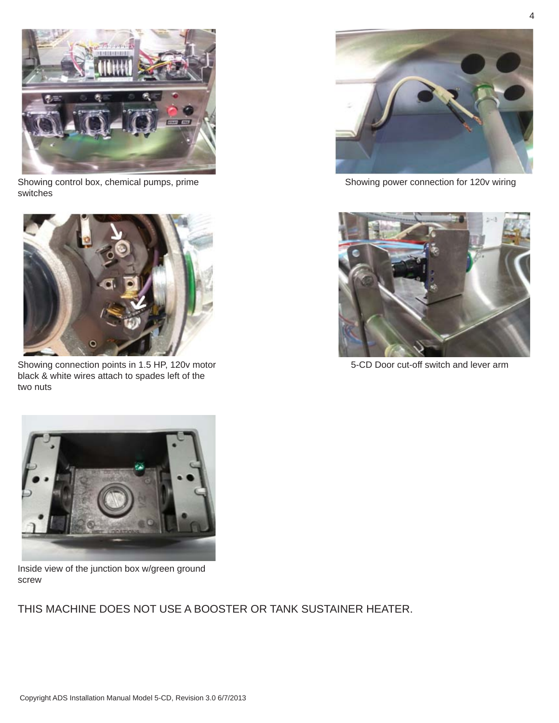

Showing control box, chemical pumps, prime switches



Showing connection points in 1.5 HP, 120v motor black & white wires attach to spades left of the two nuts



Showing power connection for 120v wiring



5-CD Door cut-off switch and lever arm



Inside view of the junction box w/green ground screw

THIS MACHINE DOES NOT USE A BOOSTER OR TANK SUSTAINER HEATER.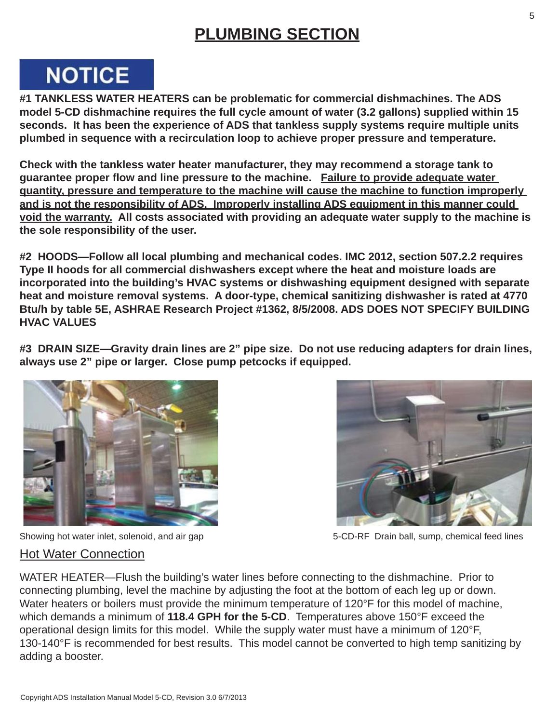### **PLUMBING SECTION**

# **NOTICE**

**#1 TANKLESS WATER HEATERS can be problematic for commercial dishmachines. The ADS model 5-CD dishmachine requires the full cycle amount of water (3.2 gallons) supplied within 15 seconds. It has been the experience of ADS that tankless supply systems require multiple units plumbed in sequence with a recirculation loop to achieve proper pressure and temperature.**

**Check with the tankless water heater manufacturer, they may recommend a storage tank to guarantee proper fl ow and line pressure to the machine. Failure to provide adequate water quantity, pressure and temperature to the machine will cause the machine to function improperly and is not the responsibility of ADS. Improperly installing ADS equipment in this manner could void the warranty. All costs associated with providing an adequate water supply to the machine is the sole responsibility of the user.**

**#2 HOODS—Follow all local plumbing and mechanical codes. IMC 2012, section 507.2.2 requires Type II hoods for all commercial dishwashers except where the heat and moisture loads are incorporated into the building's HVAC systems or dishwashing equipment designed with separate heat and moisture removal systems. A door-type, chemical sanitizing dishwasher is rated at 4770 Btu/h by table 5E, ASHRAE Research Project #1362, 8/5/2008. ADS DOES NOT SPECIFY BUILDING HVAC VALUES**

**#3 DRAIN SIZE—Gravity drain lines are 2" pipe size. Do not use reducing adapters for drain lines, always use 2" pipe or larger. Close pump petcocks if equipped.**





Showing hot water inlet, solenoid, and air gap 5-CD-RF Drain ball, sump, chemical feed lines

#### Hot Water Connection

WATER HEATER—Flush the building's water lines before connecting to the dishmachine. Prior to connecting plumbing, level the machine by adjusting the foot at the bottom of each leg up or down. Water heaters or boilers must provide the minimum temperature of 120°F for this model of machine, which demands a minimum of **118.4 GPH for the 5-CD**. Temperatures above 150°F exceed the operational design limits for this model. While the supply water must have a minimum of 120°F, 130-140°F is recommended for best results. This model cannot be converted to high temp sanitizing by adding a booster.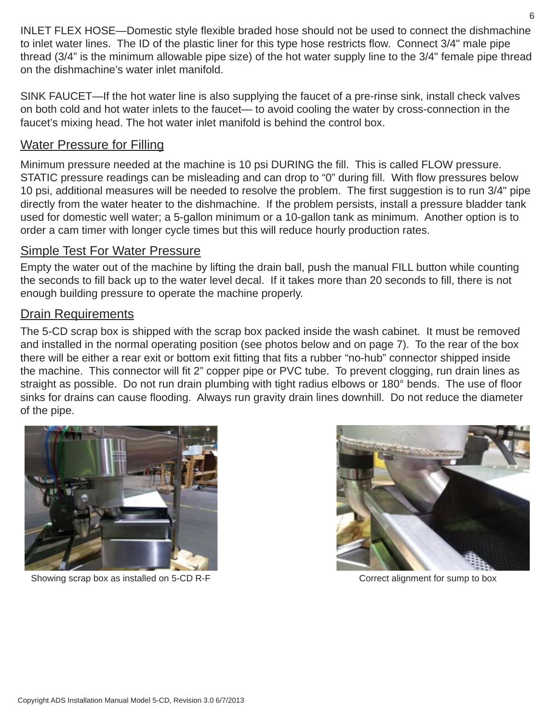INLET FLEX HOSE—Domestic style flexible braded hose should not be used to connect the dishmachine to inlet water lines. The ID of the plastic liner for this type hose restricts flow. Connect 3/4" male pipe thread (3/4" is the minimum allowable pipe size) of the hot water supply line to the 3/4" female pipe thread on the dishmachine's water inlet manifold.

SINK FAUCET—If the hot water line is also supplying the faucet of a pre-rinse sink, install check valves on both cold and hot water inlets to the faucet— to avoid cooling the water by cross-connection in the faucet's mixing head. The hot water inlet manifold is behind the control box.

#### Water Pressure for Filling

Minimum pressure needed at the machine is 10 psi DURING the fill. This is called FLOW pressure. STATIC pressure readings can be misleading and can drop to "0" during fill. With flow pressures below 10 psi, additional measures will be needed to resolve the problem. The first suggestion is to run 3/4" pipe directly from the water heater to the dishmachine. If the problem persists, install a pressure bladder tank used for domestic well water; a 5-gallon minimum or a 10-gallon tank as minimum. Another option is to order a cam timer with longer cycle times but this will reduce hourly production rates.

#### Simple Test For Water Pressure

Empty the water out of the machine by lifting the drain ball, push the manual FILL button while counting the seconds to fill back up to the water level decal. If it takes more than 20 seconds to fill, there is not enough building pressure to operate the machine properly.

#### Drain Requirements

The 5-CD scrap box is shipped with the scrap box packed inside the wash cabinet. It must be removed and installed in the normal operating position (see photos below and on page 7). To the rear of the box there will be either a rear exit or bottom exit fitting that fits a rubber "no-hub" connector shipped inside the machine. This connector will fit 2" copper pipe or PVC tube. To prevent clogging, run drain lines as straight as possible. Do not run drain plumbing with tight radius elbows or 180° bends. The use of floor sinks for drains can cause flooding. Always run gravity drain lines downhill. Do not reduce the diameter of the pipe.



Showing scrap box as installed on 5-CD R-F Correct alignment for sump to box

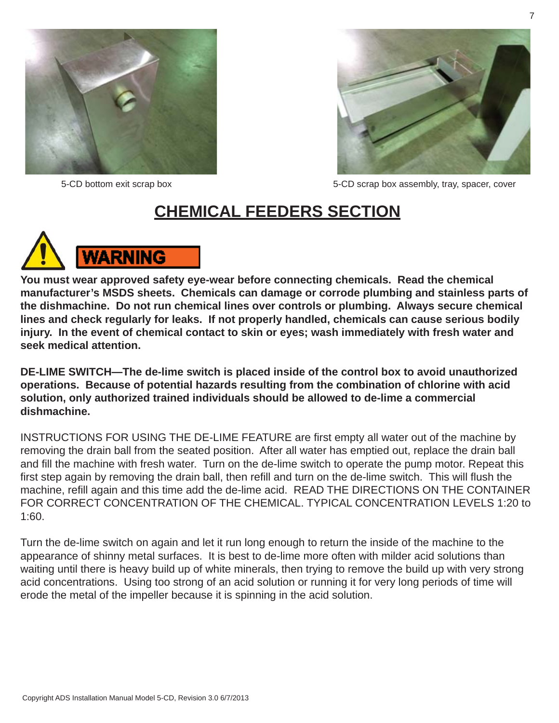



5-CD bottom exit scrap box 5-CD scrap box assembly, tray, spacer, cover

### **CHEMICAL FEEDERS SECTION**



**You must wear approved safety eye-wear before connecting chemicals. Read the chemical manufacturer's MSDS sheets. Chemicals can damage or corrode plumbing and stainless parts of the dishmachine. Do not run chemical lines over controls or plumbing. Always secure chemical lines and check regularly for leaks. If not properly handled, chemicals can cause serious bodily injury. In the event of chemical contact to skin or eyes; wash immediately with fresh water and seek medical attention.**

**DE-LIME SWITCH—The de-lime switch is placed inside of the control box to avoid unauthorized operations. Because of potential hazards resulting from the combination of chlorine with acid solution, only authorized trained individuals should be allowed to de-lime a commercial dishmachine.** 

INSTRUCTIONS FOR USING THE DE-LIME FEATURE are first empty all water out of the machine by removing the drain ball from the seated position. After all water has emptied out, replace the drain ball and fill the machine with fresh water. Turn on the de-lime switch to operate the pump motor. Repeat this first step again by removing the drain ball, then refill and turn on the de-lime switch. This will flush the machine, refill again and this time add the de-lime acid. READ THE DIRECTIONS ON THE CONTAINER FOR CORRECT CONCENTRATION OF THE CHEMICAL. TYPICAL CONCENTRATION LEVELS 1:20 to 1:60.

Turn the de-lime switch on again and let it run long enough to return the inside of the machine to the appearance of shinny metal surfaces. It is best to de-lime more often with milder acid solutions than waiting until there is heavy build up of white minerals, then trying to remove the build up with very strong acid concentrations. Using too strong of an acid solution or running it for very long periods of time will erode the metal of the impeller because it is spinning in the acid solution.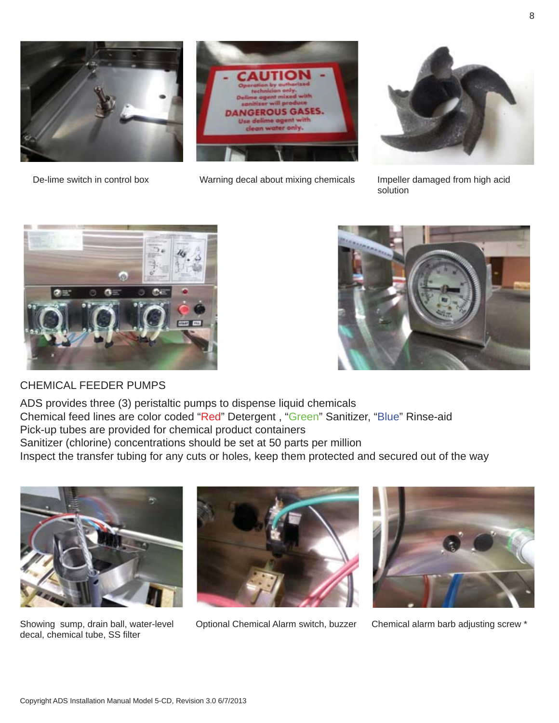

De-lime switch in control box Warning decal about mixing chemicals Impeller damaged from high acid



solution



#### CHEMICAL FEEDER PUMPS

ADS provides three (3) peristaltic pumps to dispense liquid chemicals Chemical feed lines are color coded "Red" Detergent , "Green" Sanitizer, "Blue" Rinse-aid Pick-up tubes are provided for chemical product containers Sanitizer (chlorine) concentrations should be set at 50 parts per million Inspect the transfer tubing for any cuts or holes, keep them protected and secured out of the way



decal, chemical tube, SS filter



Showing sump, drain ball, water-level Optional Chemical Alarm switch, buzzer Chemical alarm barb adjusting screw \*

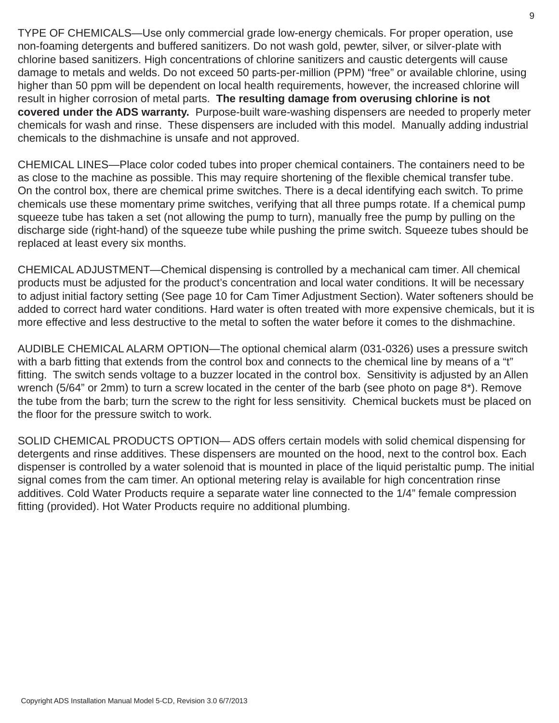TYPE OF CHEMICALS—Use only commercial grade low-energy chemicals. For proper operation, use non-foaming detergents and buffered sanitizers. Do not wash gold, pewter, silver, or silver-plate with chlorine based sanitizers. High concentrations of chlorine sanitizers and caustic detergents will cause damage to metals and welds. Do not exceed 50 parts-per-million (PPM) "free" or available chlorine, using higher than 50 ppm will be dependent on local health requirements, however, the increased chlorine will result in higher corrosion of metal parts. **The resulting damage from overusing chlorine is not covered under the ADS warranty.** Purpose-built ware-washing dispensers are needed to properly meter chemicals for wash and rinse. These dispensers are included with this model. Manually adding industrial chemicals to the dishmachine is unsafe and not approved.

CHEMICAL LINES—Place color coded tubes into proper chemical containers. The containers need to be as close to the machine as possible. This may require shortening of the flexible chemical transfer tube. On the control box, there are chemical prime switches. There is a decal identifying each switch. To prime chemicals use these momentary prime switches, verifying that all three pumps rotate. If a chemical pump squeeze tube has taken a set (not allowing the pump to turn), manually free the pump by pulling on the discharge side (right-hand) of the squeeze tube while pushing the prime switch. Squeeze tubes should be replaced at least every six months.

CHEMICAL ADJUSTMENT—Chemical dispensing is controlled by a mechanical cam timer. All chemical products must be adjusted for the product's concentration and local water conditions. It will be necessary to adjust initial factory setting (See page 10 for Cam Timer Adjustment Section). Water softeners should be added to correct hard water conditions. Hard water is often treated with more expensive chemicals, but it is more effective and less destructive to the metal to soften the water before it comes to the dishmachine.

AUDIBLE CHEMICAL ALARM OPTION—The optional chemical alarm (031-0326) uses a pressure switch with a barb fitting that extends from the control box and connects to the chemical line by means of a "t" fitting. The switch sends voltage to a buzzer located in the control box. Sensitivity is adjusted by an Allen wrench (5/64" or 2mm) to turn a screw located in the center of the barb (see photo on page 8\*). Remove the tube from the barb; turn the screw to the right for less sensitivity. Chemical buckets must be placed on the floor for the pressure switch to work.

SOLID CHEMICAL PRODUCTS OPTION— ADS offers certain models with solid chemical dispensing for detergents and rinse additives. These dispensers are mounted on the hood, next to the control box. Each dispenser is controlled by a water solenoid that is mounted in place of the liquid peristaltic pump. The initial signal comes from the cam timer. An optional metering relay is available for high concentration rinse additives. Cold Water Products require a separate water line connected to the 1/4" female compression fitting (provided). Hot Water Products require no additional plumbing.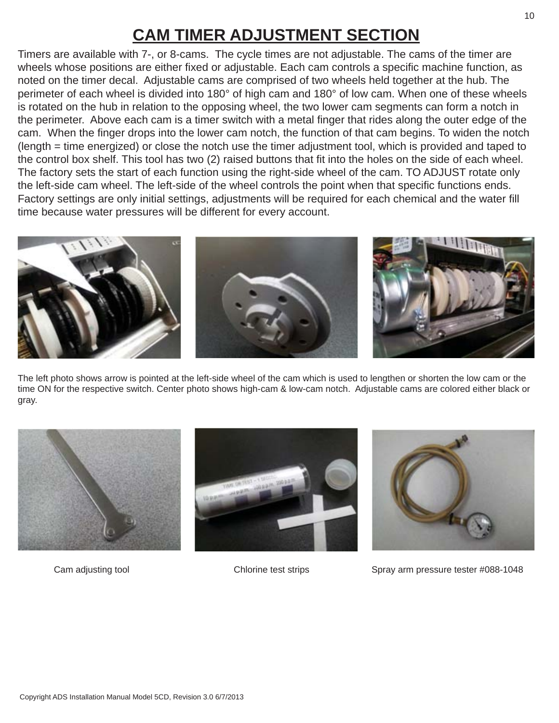## **CAM TIMER ADJUSTMENT SECTION**

Timers are available with 7-, or 8-cams. The cycle times are not adjustable. The cams of the timer are wheels whose positions are either fixed or adjustable. Each cam controls a specific machine function, as noted on the timer decal. Adjustable cams are comprised of two wheels held together at the hub. The perimeter of each wheel is divided into 180° of high cam and 180° of low cam. When one of these wheels is rotated on the hub in relation to the opposing wheel, the two lower cam segments can form a notch in the perimeter. Above each cam is a timer switch with a metal finger that rides along the outer edge of the cam. When the finger drops into the lower cam notch, the function of that cam begins. To widen the notch (length = time energized) or close the notch use the timer adjustment tool, which is provided and taped to the control box shelf. This tool has two (2) raised buttons that fit into the holes on the side of each wheel. The factory sets the start of each function using the right-side wheel of the cam. TO ADJUST rotate only the left-side cam wheel. The left-side of the wheel controls the point when that specific functions ends. Factory settings are only initial settings, adjustments will be required for each chemical and the water fill time because water pressures will be different for every account.



The left photo shows arrow is pointed at the left-side wheel of the cam which is used to lengthen or shorten the low cam or the time ON for the respective switch. Center photo shows high-cam & low-cam notch. Adjustable cams are colored either black or gray.







Cam adjusting tool **Chlorine test strips** Spray arm pressure tester #088-1048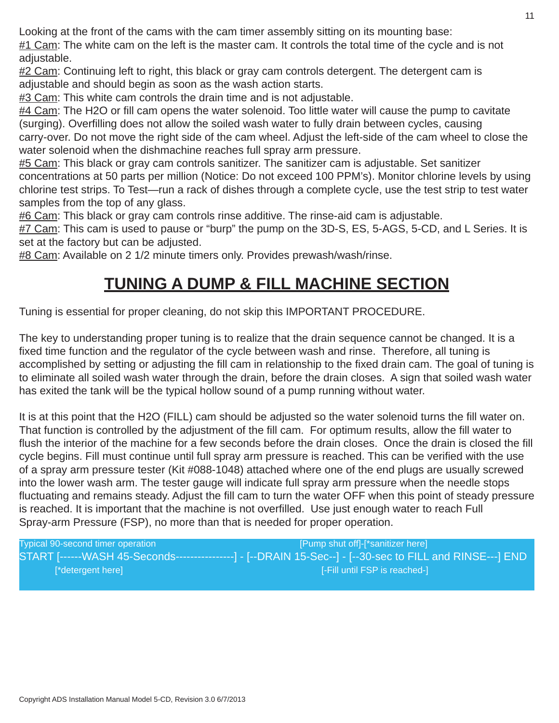Looking at the front of the cams with the cam timer assembly sitting on its mounting base:

#1 Cam: The white cam on the left is the master cam. It controls the total time of the cycle and is not adjustable.

#2 Cam: Continuing left to right, this black or gray cam controls detergent. The detergent cam is adjustable and should begin as soon as the wash action starts.

#3 Cam: This white cam controls the drain time and is not adjustable.

#4 Cam: The H2O or fill cam opens the water solenoid. Too little water will cause the pump to cavitate (surging). Overfilling does not allow the soiled wash water to fully drain between cycles, causing carry-over. Do not move the right side of the cam wheel. Adjust the left-side of the cam wheel to close the water solenoid when the dishmachine reaches full spray arm pressure.

#5 Cam: This black or gray cam controls sanitizer. The sanitizer cam is adjustable. Set sanitizer concentrations at 50 parts per million (Notice: Do not exceed 100 PPM's). Monitor chlorine levels by using chlorine test strips. To Test—run a rack of dishes through a complete cycle, use the test strip to test water samples from the top of any glass.

#6 Cam: This black or gray cam controls rinse additive. The rinse-aid cam is adjustable.

#7 Cam: This cam is used to pause or "burp" the pump on the 3D-S, ES, 5-AGS, 5-CD, and L Series. It is set at the factory but can be adjusted.

#8 Cam: Available on 2 1/2 minute timers only. Provides prewash/wash/rinse.

### **TUNING A DUMP & FILL MACHINE SECTION**

Tuning is essential for proper cleaning, do not skip this IMPORTANT PROCEDURE.

The key to understanding proper tuning is to realize that the drain sequence cannot be changed. It is a fixed time function and the regulator of the cycle between wash and rinse. Therefore, all tuning is accomplished by setting or adjusting the fill cam in relationship to the fixed drain cam. The goal of tuning is to eliminate all soiled wash water through the drain, before the drain closes. A sign that soiled wash water has exited the tank will be the typical hollow sound of a pump running without water.

It is at this point that the H2O (FILL) cam should be adjusted so the water solenoid turns the fill water on. That function is controlled by the adjustment of the fill cam. For optimum results, allow the fill water to flush the interior of the machine for a few seconds before the drain closes. Once the drain is closed the fill cycle begins. Fill must continue until full spray arm pressure is reached. This can be verified with the use of a spray arm pressure tester (Kit #088-1048) attached where one of the end plugs are usually screwed into the lower wash arm. The tester gauge will indicate full spray arm pressure when the needle stops fluctuating and remains steady. Adjust the fill cam to turn the water OFF when this point of steady pressure is reached. It is important that the machine is not overfilled. Use just enough water to reach Full Spray-arm Pressure (FSP), no more than that is needed for proper operation.

Typical 90-second timer operation **[Pump shut off]-[\*sanitizer here]** START [------WASH 45-Seconds----------------] - [--DRAIN 15-Sec--] - [--30-sec to FILL and RINSE---] END [\*detergent here] [-Fill until FSP is reached-]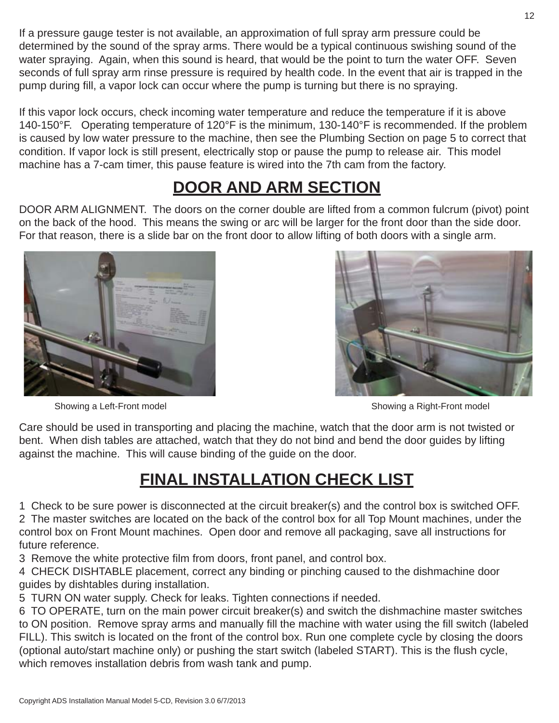If a pressure gauge tester is not available, an approximation of full spray arm pressure could be determined by the sound of the spray arms. There would be a typical continuous swishing sound of the water spraying. Again, when this sound is heard, that would be the point to turn the water OFF. Seven seconds of full spray arm rinse pressure is required by health code. In the event that air is trapped in the pump during fill, a vapor lock can occur where the pump is turning but there is no spraying.

If this vapor lock occurs, check incoming water temperature and reduce the temperature if it is above 140-150°F. Operating temperature of 120°F is the minimum, 130-140°F is recommended. If the problem is caused by low water pressure to the machine, then see the Plumbing Section on page 5 to correct that condition. If vapor lock is still present, electrically stop or pause the pump to release air. This model machine has a 7-cam timer, this pause feature is wired into the 7th cam from the factory.

## **DOOR AND ARM SECTION**

DOOR ARM ALIGNMENT. The doors on the corner double are lifted from a common fulcrum (pivot) point on the back of the hood. This means the swing or arc will be larger for the front door than the side door. For that reason, there is a slide bar on the front door to allow lifting of both doors with a single arm.





Showing a Left-Front model **Showing a Right-Front model** Showing a Right-Front model

Care should be used in transporting and placing the machine, watch that the door arm is not twisted or bent. When dish tables are attached, watch that they do not bind and bend the door guides by lifting against the machine. This will cause binding of the guide on the door.

## **FINAL INSTALLATION CHECK LIST**

1 Check to be sure power is disconnected at the circuit breaker(s) and the control box is switched OFF. 2 The master switches are located on the back of the control box for all Top Mount machines, under the control box on Front Mount machines. Open door and remove all packaging, save all instructions for

future reference.

3 Remove the white protective film from doors, front panel, and control box.

4 CHECK DISHTABLE placement, correct any binding or pinching caused to the dishmachine door guides by dishtables during installation.

5 TURN ON water supply. Check for leaks. Tighten connections if needed.

6 TO OPERATE, turn on the main power circuit breaker(s) and switch the dishmachine master switches to ON position. Remove spray arms and manually fill the machine with water using the fill switch (labeled FILL). This switch is located on the front of the control box. Run one complete cycle by closing the doors (optional auto/start machine only) or pushing the start switch (labeled START). This is the flush cycle, which removes installation debris from wash tank and pump.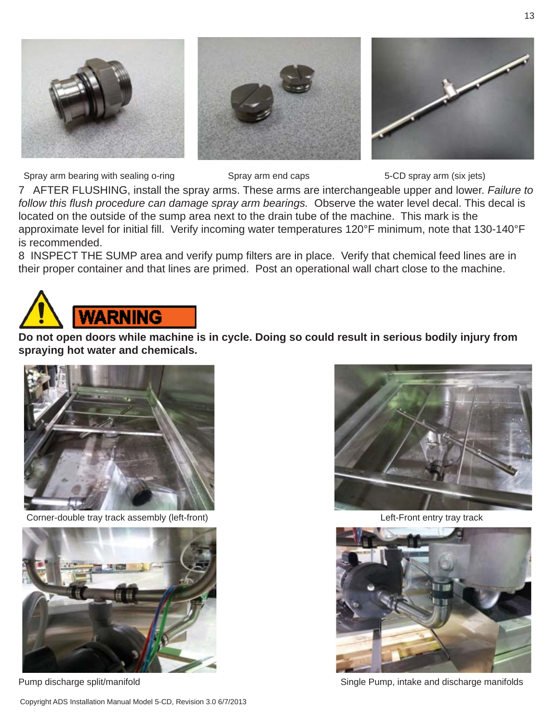

Spray arm bearing with sealing o-ring Spray arm end caps 5-CD spray arm (six jets)

7 AFTER FLUSHING, install the spray arms. These arms are interchangeable upper and lower. *Failure to follow this fl ush procedure can damage spray arm bearings.* Observe the water level decal. This decal is located on the outside of the sump area next to the drain tube of the machine. This mark is the approximate level for initial fill. Verify incoming water temperatures 120°F minimum, note that 130-140°F is recommended.

8 INSPECT THE SUMP area and verify pump filters are in place. Verify that chemical feed lines are in their proper container and that lines are primed. Post an operational wall chart close to the machine.



**Do not open doors while machine is in cycle. Doing so could result in serious bodily injury from spraying hot water and chemicals.**



Corner-double tray track assembly (left-front) Left-Front entry tray track







Pump discharge split/manifold Single Pump, intake and discharge manifolds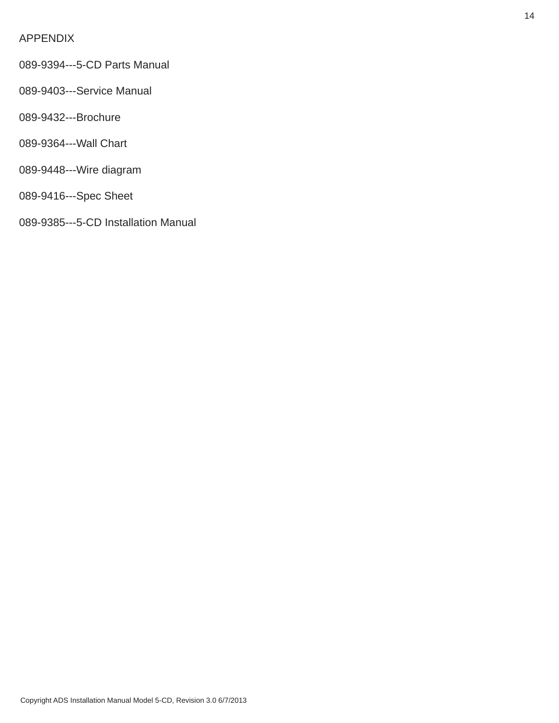#### APPENDIX

- 089-9394---5-CD Parts Manual
- 089-9403---Service Manual
- 089-9432---Brochure
- 089-9364---Wall Chart
- 089-9448---Wire diagram
- 089-9416---Spec Sheet
- 089-9385---5-CD Installation Manual